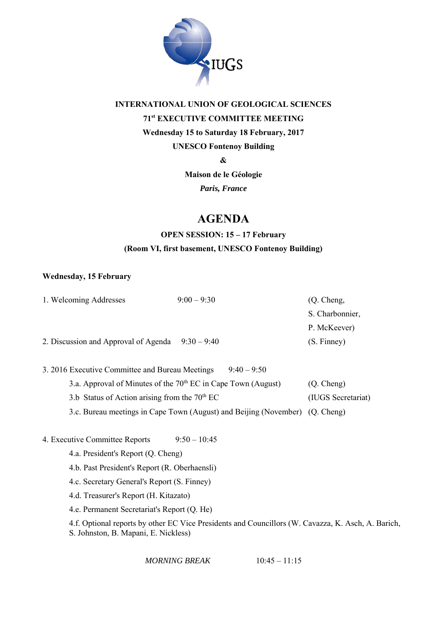

## **INTERNATIONAL UNION OF GEOLOGICAL SCIENCES 71st EXECUTIVE COMMITTEE MEETING Wednesday 15 to Saturday 18 February, 2017 UNESCO Fontenoy Building**

**&** 

**Maison de le Géologie**

*Paris, France* 

## **AGENDA**

### **OPEN SESSION: 15 – 17 February (Room VI, first basement, UNESCO Fontenoy Building)**

#### **Wednesday, 15 February**

|                                                                              | 1. Welcoming Addresses               | $9:00 - 9:30$                                                   | $(Q.$ Cheng,       |  |  |
|------------------------------------------------------------------------------|--------------------------------------|-----------------------------------------------------------------|--------------------|--|--|
|                                                                              |                                      |                                                                 | S. Charbonnier,    |  |  |
|                                                                              |                                      |                                                                 | P. McKeever        |  |  |
|                                                                              | 2. Discussion and Approval of Agenda | $9:30 - 9:40$                                                   | (S. Finney)        |  |  |
|                                                                              |                                      |                                                                 |                    |  |  |
| $9.40 - 9.50$<br>3. 2016 Executive Committee and Bureau Meetings             |                                      |                                                                 |                    |  |  |
|                                                                              |                                      | 3.a. Approval of Minutes of the $70th EC$ in Cape Town (August) | (Q. Cheng)         |  |  |
| 3.b Status of Action arising from the $70th$ EC                              |                                      |                                                                 | (IUGS Secretariat) |  |  |
| 3.c. Bureau meetings in Cape Town (August) and Beijing (November) (Q. Cheng) |                                      |                                                                 |                    |  |  |
|                                                                              |                                      |                                                                 |                    |  |  |
|                                                                              |                                      |                                                                 |                    |  |  |

- 4. Executive Committee Reports 9:50 10:45
	- 4.a. President's Report (Q. Cheng)
	- 4.b. Past President's Report (R. Oberhaensli)
	- 4.c. Secretary General's Report (S. Finney)
	- 4.d. Treasurer's Report (H. Kitazato)
	- 4.e. Permanent Secretariat's Report (Q. He)

 4.f. Optional reports by other EC Vice Presidents and Councillors (W. Cavazza, K. Asch, A. Barich, S. Johnston, B. Mapani, E. Nickless)

*MORNING BREAK* 10:45 – 11:15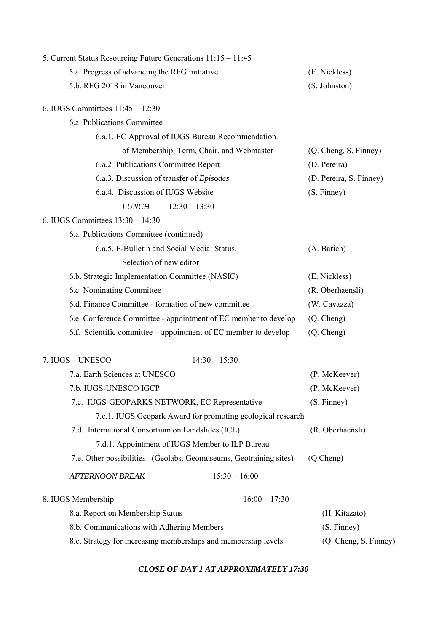| 5. Current Status Resourcing Future Generations 11:15 - 11:45     |                         |
|-------------------------------------------------------------------|-------------------------|
| 5.a. Progress of advancing the RFG initiative                     | (E. Nickless)           |
| 5.b. RFG 2018 in Vancouver                                        | (S. Johnston)           |
| 6. IUGS Committees $11:45 - 12:30$                                |                         |
| 6.a. Publications Committee                                       |                         |
| 6.a.1. EC Approval of IUGS Bureau Recommendation                  |                         |
| of Membership, Term, Chair, and Webmaster                         | (Q. Cheng, S. Finney)   |
| 6.a.2 Publications Committee Report                               | (D. Pereira)            |
| 6.a.3. Discussion of transfer of Episodes                         | (D. Pereira, S. Finney) |
| 6.a.4. Discussion of IUGS Website                                 | (S. Finney)             |
| $12:30 - 13:30$<br><b>LUNCH</b>                                   |                         |
| 6. IUGS Committees $13:30 - 14:30$                                |                         |
| 6.a. Publications Committee (continued)                           |                         |
| 6.a.5. E-Bulletin and Social Media: Status,                       | (A. Barich)             |
| Selection of new editor                                           |                         |
| 6.b. Strategic Implementation Committee (NASIC)                   | (E. Nickless)           |
| 6.c. Nominating Committee                                         | (R. Oberhaensli)        |
| 6.d. Finance Committee - formation of new committee               | (W. Cavazza)            |
| 6.e. Conference Committee - appointment of EC member to develop   | (Q. Cheng)              |
| 6.f. Scientific committee – appointment of EC member to develop   | (Q. Cheng)              |
| 7. IUGS - UNESCO<br>$14:30 - 15:30$                               |                         |
| 7.a. Earth Sciences at UNESCO                                     | (P. McKeever)           |
| 7.b. IUGS-UNESCO IGCP                                             | (P. McKeever)           |
| 7.c. IUGS-GEOPARKS NETWORK, EC Representative                     | (S. Finney)             |
| 7.c.1. IUGS Geopark Award for promoting geological research       |                         |
| 7.d. International Consortium on Landslides (ICL)                 | (R. Oberhaensli)        |
| 7.d.1. Appointment of IUGS Member to ILP Bureau                   |                         |
| 7.e. Other possibilities (Geolabs, Geomuseums, Geotraining sites) | (Q Cheng)               |
| $15:30 - 16:00$<br><b>AFTERNOON BREAK</b>                         |                         |
| $16:00 - 17:30$<br>8. IUGS Membership                             |                         |
| 8.a. Report on Membership Status                                  | (H. Kitazato)           |
| 8.b. Communications with Adhering Members                         | (S. Finney)             |
| 8.c. Strategy for increasing memberships and membership levels    | (Q. Cheng, S. Finney)   |

#### *CLOSE OF DAY 1 AT APPROXIMATELY 17:30*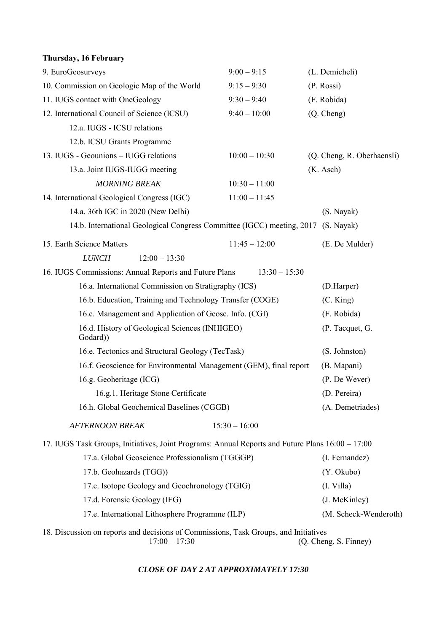| Thursday, 16 February                                                                            |                 |                            |
|--------------------------------------------------------------------------------------------------|-----------------|----------------------------|
| 9. EuroGeosurveys                                                                                | $9:00 - 9:15$   | (L. Demicheli)             |
| 10. Commission on Geologic Map of the World                                                      | $9:15 - 9:30$   | (P. Rossi)                 |
| 11. IUGS contact with OneGeology                                                                 | $9:30 - 9:40$   | (F. Robida)                |
| 12. International Council of Science (ICSU)                                                      | $9:40 - 10:00$  | (Q. Cheng)                 |
| 12.a. IUGS - ICSU relations                                                                      |                 |                            |
| 12.b. ICSU Grants Programme                                                                      |                 |                            |
| 13. IUGS - Geounions - IUGG relations                                                            | $10:00 - 10:30$ | (Q. Cheng, R. Oberhaensli) |
| 13.a. Joint IUGS-IUGG meeting                                                                    |                 | (K. Asch)                  |
| <b>MORNING BREAK</b>                                                                             | $10:30 - 11:00$ |                            |
| 14. International Geological Congress (IGC)                                                      | $11:00 - 11:45$ |                            |
| 14.a. 36th IGC in 2020 (New Delhi)                                                               |                 | (S. Nayak)                 |
| 14.b. International Geological Congress Committee (IGCC) meeting, 2017 (S. Nayak)                |                 |                            |
| 15. Earth Science Matters                                                                        | $11:45 - 12:00$ | (E. De Mulder)             |
| $12:00 - 13:30$<br><b>LUNCH</b>                                                                  |                 |                            |
| 16. IUGS Commissions: Annual Reports and Future Plans                                            | $13:30 - 15:30$ |                            |
| 16.a. International Commission on Stratigraphy (ICS)                                             | (D.Harper)      |                            |
| 16.b. Education, Training and Technology Transfer (COGE)                                         | (C. King)       |                            |
| 16.c. Management and Application of Geosc. Info. (CGI)                                           | (F. Robida)     |                            |
| 16.d. History of Geological Sciences (INHIGEO)<br>Godard)                                        | (P. Tacquet, G. |                            |
| 16.e. Tectonics and Structural Geology (TecTask)                                                 |                 | (S. Johnston)              |
| 16.f. Geoscience for Environmental Management (GEM), final report                                |                 | (B. Mapani)                |
| 16.g. Geoheritage (ICG)                                                                          |                 | (P. De Wever)              |
| 16.g.1. Heritage Stone Certificate                                                               |                 | (D. Pereira)               |
| 16.h. Global Geochemical Baselines (CGGB)                                                        |                 | (A. Demetriades)           |
| <b>AFTERNOON BREAK</b>                                                                           | $15:30 - 16:00$ |                            |
| 17. IUGS Task Groups, Initiatives, Joint Programs: Annual Reports and Future Plans 16:00 – 17:00 |                 |                            |
| 17.a. Global Geoscience Professionalism (TGGGP)                                                  | (I. Fernandez)  |                            |
| 17.b. Geohazards (TGG))                                                                          | (Y. Okubo)      |                            |
| 17.c. Isotope Geology and Geochronology (TGIG)                                                   | (I. Villa)      |                            |
| 17.d. Forensic Geology (IFG)                                                                     | (J. McKinley)   |                            |
| 17.e. International Lithosphere Programme (ILP)                                                  |                 | (M. Scheck-Wenderoth)      |

18. Discussion on reports and decisions of Commissions, Task Groups, and Initiatives 17:00 – 17:30 (Q. Cheng, S. Finney)

*CLOSE OF DAY 2 AT APPROXIMATELY 17:30*